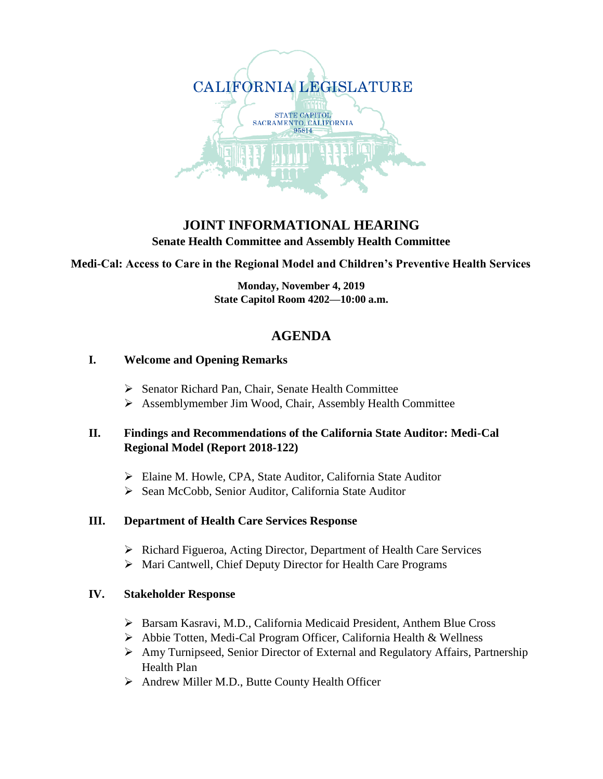

## **JOINT INFORMATIONAL HEARING Senate Health Committee and Assembly Health Committee**

**Medi-Cal: Access to Care in the Regional Model and Children's Preventive Health Services**

**Monday, November 4, 2019 State Capitol Room 4202—10:00 a.m.**

# **AGENDA**

#### **I. Welcome and Opening Remarks**

- Senator Richard Pan, Chair, Senate Health Committee
- Assemblymember Jim Wood, Chair, Assembly Health Committee

# **II. Findings and Recommendations of the California State Auditor: Medi-Cal Regional Model (Report 2018-122)**

- Elaine M. Howle, CPA, State Auditor, California State Auditor
- > Sean McCobb, Senior Auditor, California State Auditor

#### **III. Department of Health Care Services Response**

- ▶ Richard Figueroa, Acting Director, Department of Health Care Services
- Mari Cantwell, Chief Deputy Director for Health Care Programs

#### **IV. Stakeholder Response**

- Barsam Kasravi, M.D., California Medicaid President, Anthem Blue Cross
- Abbie Totten, Medi-Cal Program Officer, California Health & Wellness
- Amy Turnipseed, Senior Director of External and Regulatory Affairs, Partnership Health Plan
- Andrew Miller M.D., Butte County Health Officer